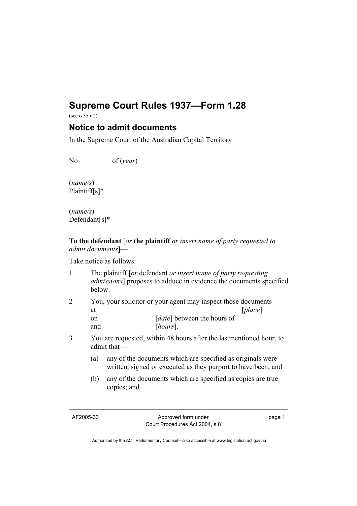# **Supreme Court Rules 1937—Form 1.28**

(see o 35 r 2)

## **Notice to admit documents**

In the Supreme Court of the Australian Capital Territory

No of (*year*)

(*name/s*) Plaintiff[s]\*

(*name/s*) Defendant[s]\*

**To the defendant** [*or* **the plaintiff** *or insert name of party requested to admit documents*]—

Take notice as follows:

| $\mathbf{1}$   | below.                     | The plaintiff [or defendant or insert name of party requesting<br>admissions] proposes to adduce in evidence the documents specified |                                                                                                                      |                             |         |  |
|----------------|----------------------------|--------------------------------------------------------------------------------------------------------------------------------------|----------------------------------------------------------------------------------------------------------------------|-----------------------------|---------|--|
| $\overline{2}$ | at<br><sub>on</sub><br>and |                                                                                                                                      | You, your solicitor or your agent may inspect those documents<br>[ <i>date</i> ] between the hours of<br>$[hours]$ . |                             | [place] |  |
|                |                            |                                                                                                                                      |                                                                                                                      |                             |         |  |
| 3              |                            | You are requested, within 48 hours after the lastmentioned hour, to<br>admit that-                                                   |                                                                                                                      |                             |         |  |
|                | (a)                        | any of the documents which are specified as originals were<br>written, signed or executed as they purport to have been; and          |                                                                                                                      |                             |         |  |
|                |                            |                                                                                                                                      | $\sim$ 0.1 1 $\sim$ 1.1                                                                                              | $\sim$ $\sim$ $\sim$ $\sim$ |         |  |

(b) any of the documents which are specified as copies are true copies; and

AF2005-33 Approved form under Court Procedures Act 2004, s 8 page 1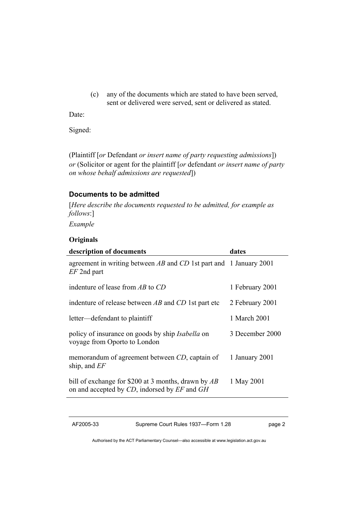(c) any of the documents which are stated to have been served, sent or delivered were served, sent or delivered as stated.

Date:

Signed:

(Plaintiff [*or* Defendant *or insert name of party requesting admissions*]) *or* (Solicitor or agent for the plaintiff [*or* defendant *or insert name of party on whose behalf admissions are requested*])

#### **Documents to be admitted**

[*Here describe the documents requested to be admitted, for example as follows*:]

*Example* 

#### **Originals**

| description of documents                                                                            | dates           |
|-----------------------------------------------------------------------------------------------------|-----------------|
| agreement in writing between $AB$ and $CD$ 1st part and 1 January 2001<br>$EF$ 2nd part             |                 |
| indenture of lease from $AB$ to $CD$                                                                | 1 February 2001 |
| indenture of release between $AB$ and $CD$ 1st part etc                                             | 2 February 2001 |
| letter—defendant to plaintiff                                                                       | 1 March 2001    |
| policy of insurance on goods by ship <i>Isabella</i> on<br>voyage from Oporto to London             | 3 December 2000 |
| memorandum of agreement between CD, captain of<br>ship, and $EF$                                    | 1 January 2001  |
| bill of exchange for \$200 at 3 months, drawn by AB<br>on and accepted by CD, indorsed by EF and GH | 1 May 2001      |

AF2005-33 Supreme Court Rules 1937—Form 1.28 page 2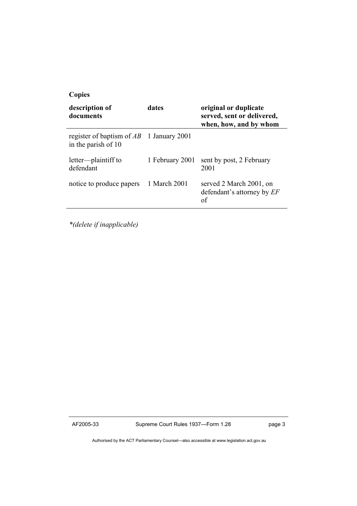| <b>Copies</b>                                                     |                 |                                                                               |  |  |  |  |
|-------------------------------------------------------------------|-----------------|-------------------------------------------------------------------------------|--|--|--|--|
| description of<br>documents                                       | dates           | original or duplicate<br>served, sent or delivered,<br>when, how, and by whom |  |  |  |  |
| register of baptism of $AB$ 1 January 2001<br>in the parish of 10 |                 |                                                                               |  |  |  |  |
| letter—plaintiff to<br>defendant                                  | 1 February 2001 | sent by post, 2 February<br>2001                                              |  |  |  |  |
| notice to produce papers                                          | 1 March 2001    | served 2 March 2001, on<br>defendant's attorney by EF<br>of                   |  |  |  |  |

*\*(delete if inapplicable)*